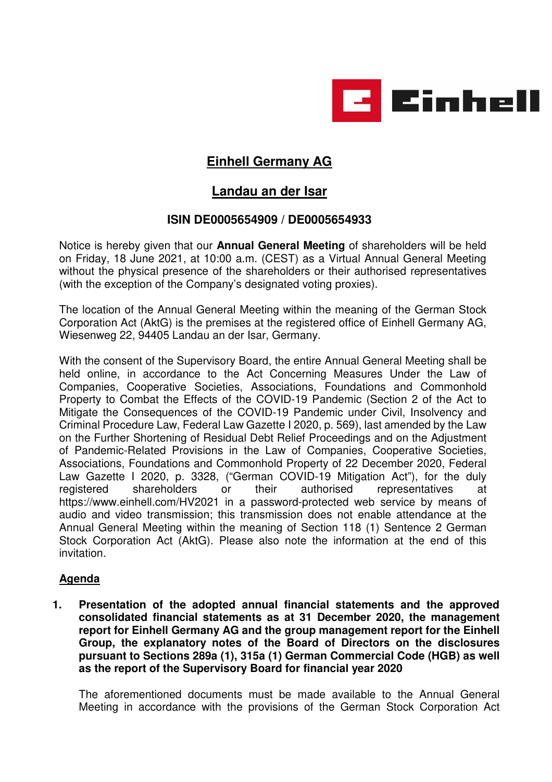

# **Einhell Germany AG**

# **Landau an der Isar**

# **ISIN DE0005654909 / DE0005654933**

Notice is hereby given that our **Annual General Meeting** of shareholders will be held on Friday, 18 June 2021, at 10:00 a.m. (CEST) as a Virtual Annual General Meeting without the physical presence of the shareholders or their authorised representatives (with the exception of the Company's designated voting proxies).

The location of the Annual General Meeting within the meaning of the German Stock Corporation Act (AktG) is the premises at the registered office of Einhell Germany AG, Wiesenweg 22, 94405 Landau an der Isar, Germany.

With the consent of the Supervisory Board, the entire Annual General Meeting shall be held online, in accordance to the Act Concerning Measures Under the Law of Companies, Cooperative Societies, Associations, Foundations and Commonhold Property to Combat the Effects of the COVID-19 Pandemic (Section 2 of the Act to Mitigate the Consequences of the COVID-19 Pandemic under Civil, Insolvency and Criminal Procedure Law, Federal Law Gazette I 2020, p. 569), last amended by the Law on the Further Shortening of Residual Debt Relief Proceedings and on the Adjustment of Pandemic-Related Provisions in the Law of Companies, Cooperative Societies, Associations, Foundations and Commonhold Property of 22 December 2020, Federal Law Gazette I 2020, p. 3328, ("German COVID-19 Mitigation Act"), for the duly registered shareholders or their authorised representatives at https://www.einhell.com/HV2021 in a password-protected web service by means of audio and video transmission; this transmission does not enable attendance at the Annual General Meeting within the meaning of Section 118 (1) Sentence 2 German Stock Corporation Act (AktG). Please also note the information at the end of this invitation.

# **Agenda**

**1. Presentation of the adopted annual financial statements and the approved consolidated financial statements as at 31 December 2020, the management report for Einhell Germany AG and the group management report for the Einhell Group, the explanatory notes of the Board of Directors on the disclosures pursuant to Sections 289a (1), 315a (1) German Commercial Code (HGB) as well as the report of the Supervisory Board for financial year 2020** 

 The aforementioned documents must be made available to the Annual General Meeting in accordance with the provisions of the German Stock Corporation Act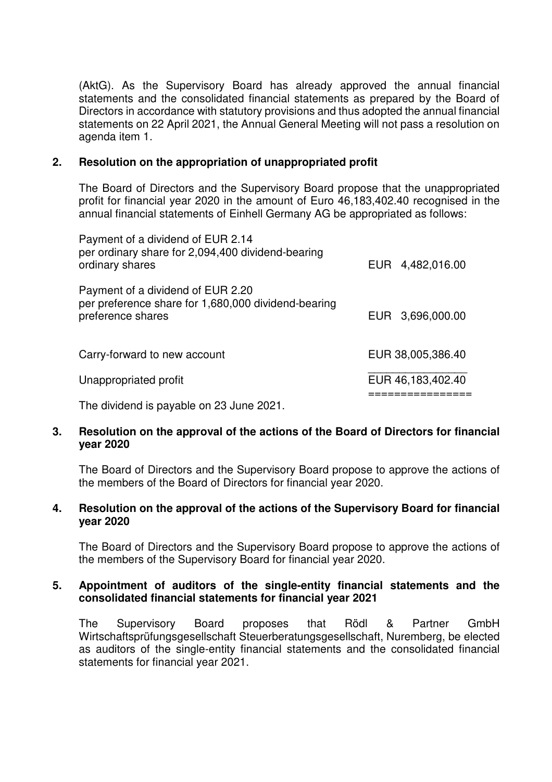(AktG). As the Supervisory Board has already approved the annual financial statements and the consolidated financial statements as prepared by the Board of Directors in accordance with statutory provisions and thus adopted the annual financial statements on 22 April 2021, the Annual General Meeting will not pass a resolution on agenda item 1.

#### **2. Resolution on the appropriation of unappropriated profit**

 The Board of Directors and the Supervisory Board propose that the unappropriated profit for financial year 2020 in the amount of Euro 46,183,402.40 recognised in the annual financial statements of Einhell Germany AG be appropriated as follows:

| Payment of a dividend of EUR 2.14<br>per ordinary share for 2,094,400 dividend-bearing                        |  |                   |
|---------------------------------------------------------------------------------------------------------------|--|-------------------|
| ordinary shares                                                                                               |  | EUR 4,482,016.00  |
| Payment of a dividend of EUR 2.20<br>per preference share for 1,680,000 dividend-bearing<br>preference shares |  | EUR 3,696,000.00  |
| Carry-forward to new account                                                                                  |  | EUR 38,005,386.40 |
| Unappropriated profit                                                                                         |  | EUR 46,183,402.40 |
| .                                                                                                             |  |                   |

The dividend is payable on 23 June 2021.

# **3. Resolution on the approval of the actions of the Board of Directors for financial year 2020**

The Board of Directors and the Supervisory Board propose to approve the actions of the members of the Board of Directors for financial year 2020.

#### **4. Resolution on the approval of the actions of the Supervisory Board for financial year 2020**

The Board of Directors and the Supervisory Board propose to approve the actions of the members of the Supervisory Board for financial year 2020.

#### **5. Appointment of auditors of the single-entity financial statements and the consolidated financial statements for financial year 2021**

The Supervisory Board proposes that Rödl & Partner GmbH Wirtschaftsprüfungsgesellschaft Steuerberatungsgesellschaft, Nuremberg, be elected as auditors of the single-entity financial statements and the consolidated financial statements for financial year 2021.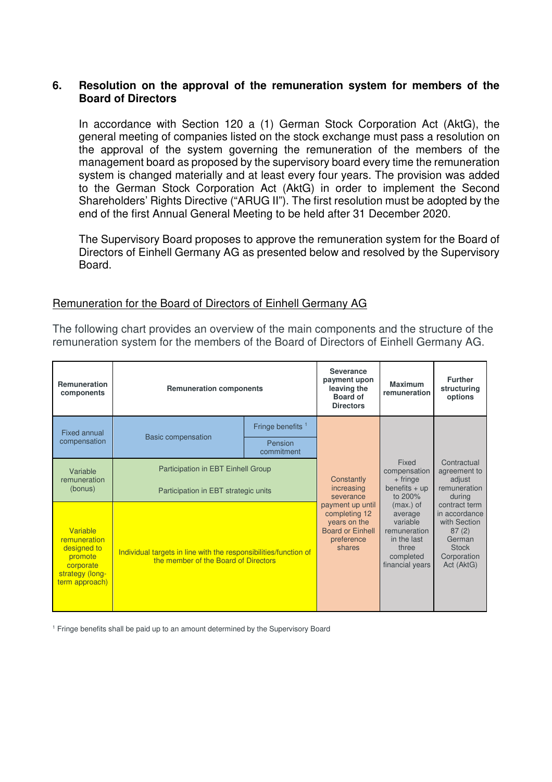# **6. Resolution on the approval of the remuneration system for members of the Board of Directors**

In accordance with Section 120 a (1) German Stock Corporation Act (AktG), the general meeting of companies listed on the stock exchange must pass a resolution on the approval of the system governing the remuneration of the members of the management board as proposed by the supervisory board every time the remuneration system is changed materially and at least every four years. The provision was added to the German Stock Corporation Act (AktG) in order to implement the Second Shareholders' Rights Directive ("ARUG II"). The first resolution must be adopted by the end of the first Annual General Meeting to be held after 31 December 2020.

The Supervisory Board proposes to approve the remuneration system for the Board of Directors of Einhell Germany AG as presented below and resolved by the Supervisory Board.

# Remuneration for the Board of Directors of Einhell Germany AG

The following chart provides an overview of the main components and the structure of the remuneration system for the members of the Board of Directors of Einhell Germany AG.

| <b>Remuneration</b><br>components                                                                    | <b>Remuneration components</b>                                                                           |                              |                                                                                                                                               | <b>Maximum</b><br>remuneration                                                                                                                                                  | <b>Further</b><br>structuring<br>options                                                                                                                                          |
|------------------------------------------------------------------------------------------------------|----------------------------------------------------------------------------------------------------------|------------------------------|-----------------------------------------------------------------------------------------------------------------------------------------------|---------------------------------------------------------------------------------------------------------------------------------------------------------------------------------|-----------------------------------------------------------------------------------------------------------------------------------------------------------------------------------|
| <b>Fixed annual</b>                                                                                  | <b>Basic compensation</b>                                                                                | Fringe benefits <sup>1</sup> |                                                                                                                                               |                                                                                                                                                                                 |                                                                                                                                                                                   |
| compensation                                                                                         |                                                                                                          | Pension<br>commitment        |                                                                                                                                               |                                                                                                                                                                                 |                                                                                                                                                                                   |
| Variable<br>remuneration<br>(bonus)                                                                  | Participation in EBT Einhell Group<br>Participation in EBT strategic units                               |                              | Constantly<br>increasing<br>severance<br>payment up until<br>completing 12<br>years on the<br><b>Board or Einhell</b><br>preference<br>shares | Fixed<br>compensation<br>$+$ fringe<br>benefits $+$ up<br>to 200%<br>$(max.)$ of<br>average<br>variable<br>remuneration<br>in the last<br>three<br>completed<br>financial years | Contractual<br>agreement to<br>adiust<br>remuneration<br>durina<br>contract term<br>in accordance<br>with Section<br>87(2)<br>German<br><b>Stock</b><br>Corporation<br>Act (AktG) |
| Variable<br>remuneration<br>designed to<br>promote<br>corporate<br>strategy (long-<br>term approach) | Individual targets in line with the responsibilities/function of<br>the member of the Board of Directors |                              |                                                                                                                                               |                                                                                                                                                                                 |                                                                                                                                                                                   |

<sup>1</sup> Fringe benefits shall be paid up to an amount determined by the Supervisory Board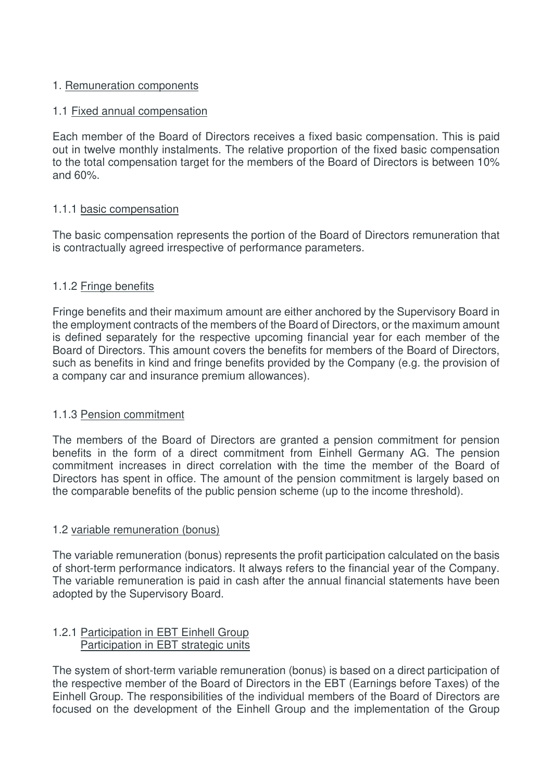# 1. Remuneration components

# 1.1 Fixed annual compensation

Each member of the Board of Directors receives a fixed basic compensation. This is paid out in twelve monthly instalments. The relative proportion of the fixed basic compensation to the total compensation target for the members of the Board of Directors is between 10% and 60%.

# 1.1.1 basic compensation

The basic compensation represents the portion of the Board of Directors remuneration that is contractually agreed irrespective of performance parameters.

# 1.1.2 Fringe benefits

Fringe benefits and their maximum amount are either anchored by the Supervisory Board in the employment contracts of the members of the Board of Directors, or the maximum amount is defined separately for the respective upcoming financial year for each member of the Board of Directors. This amount covers the benefits for members of the Board of Directors, such as benefits in kind and fringe benefits provided by the Company (e.g. the provision of a company car and insurance premium allowances).

# 1.1.3 Pension commitment

The members of the Board of Directors are granted a pension commitment for pension benefits in the form of a direct commitment from Einhell Germany AG. The pension commitment increases in direct correlation with the time the member of the Board of Directors has spent in office. The amount of the pension commitment is largely based on the comparable benefits of the public pension scheme (up to the income threshold).

# 1.2 variable remuneration (bonus)

The variable remuneration (bonus) represents the profit participation calculated on the basis of short-term performance indicators. It always refers to the financial year of the Company. The variable remuneration is paid in cash after the annual financial statements have been adopted by the Supervisory Board.

#### 1.2.1 Participation in EBT Einhell Group Participation in EBT strategic units

The system of short-term variable remuneration (bonus) is based on a direct participation of the respective member of the Board of Directors in the EBT (Earnings before Taxes) of the Einhell Group. The responsibilities of the individual members of the Board of Directors are focused on the development of the Einhell Group and the implementation of the Group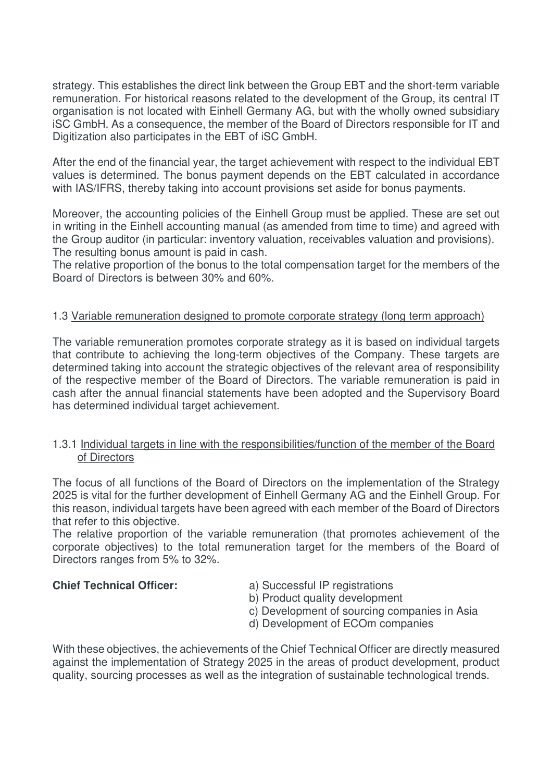strategy. This establishes the direct link between the Group EBT and the short-term variable remuneration. For historical reasons related to the development of the Group, its central IT organisation is not located with Einhell Germany AG, but with the wholly owned subsidiary iSC GmbH. As a consequence, the member of the Board of Directors responsible for IT and Digitization also participates in the EBT of iSC GmbH.

After the end of the financial year, the target achievement with respect to the individual EBT values is determined. The bonus payment depends on the EBT calculated in accordance with IAS/IFRS, thereby taking into account provisions set aside for bonus payments.

Moreover, the accounting policies of the Einhell Group must be applied. These are set out in writing in the Einhell accounting manual (as amended from time to time) and agreed with the Group auditor (in particular: inventory valuation, receivables valuation and provisions). The resulting bonus amount is paid in cash.

The relative proportion of the bonus to the total compensation target for the members of the Board of Directors is between 30% and 60%.

# 1.3 Variable remuneration designed to promote corporate strategy (long term approach)

The variable remuneration promotes corporate strategy as it is based on individual targets that contribute to achieving the long-term objectives of the Company. These targets are determined taking into account the strategic objectives of the relevant area of responsibility of the respective member of the Board of Directors. The variable remuneration is paid in cash after the annual financial statements have been adopted and the Supervisory Board has determined individual target achievement.

# 1.3.1 Individual targets in line with the responsibilities/function of the member of the Board of Directors

The focus of all functions of the Board of Directors on the implementation of the Strategy 2025 is vital for the further development of Einhell Germany AG and the Einhell Group. For this reason, individual targets have been agreed with each member of the Board of Directors that refer to this objective.

The relative proportion of the variable remuneration (that promotes achievement of the corporate objectives) to the total remuneration target for the members of the Board of Directors ranges from 5% to 32%.

**Chief Technical Officer:** a) Successful IP registrations

b) Product quality development

- c) Development of sourcing companies in Asia
- d) Development of ECOm companies

With these objectives, the achievements of the Chief Technical Officer are directly measured against the implementation of Strategy 2025 in the areas of product development, product quality, sourcing processes as well as the integration of sustainable technological trends.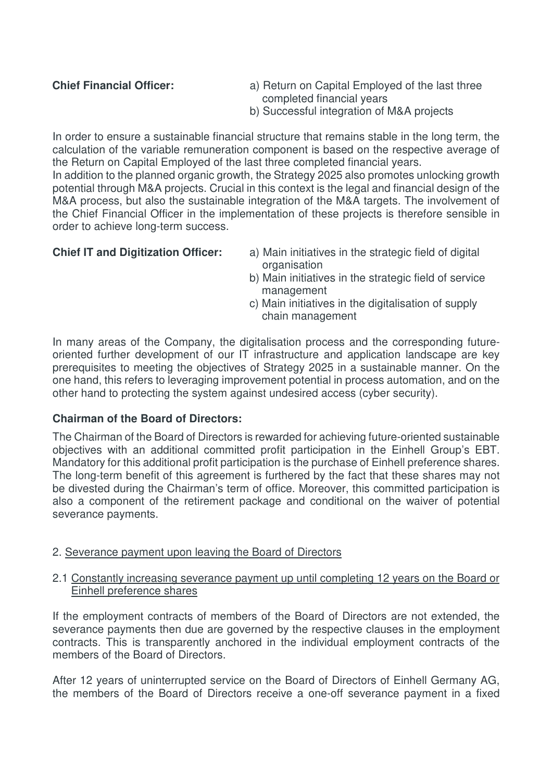- **Chief Financial Officer:** a) Return on Capital Employed of the last three completed financial years
	- b) Successful integration of M&A projects

In order to ensure a sustainable financial structure that remains stable in the long term, the calculation of the variable remuneration component is based on the respective average of the Return on Capital Employed of the last three completed financial years.

In addition to the planned organic growth, the Strategy 2025 also promotes unlocking growth potential through M&A projects. Crucial in this context is the legal and financial design of the M&A process, but also the sustainable integration of the M&A targets. The involvement of the Chief Financial Officer in the implementation of these projects is therefore sensible in order to achieve long-term success.

- **Chief IT and Digitization Officer:** a) Main initiatives in the strategic field of digital organisation
	- b) Main initiatives in the strategic field of service management
	- c) Main initiatives in the digitalisation of supply chain management

In many areas of the Company, the digitalisation process and the corresponding futureoriented further development of our IT infrastructure and application landscape are key prerequisites to meeting the objectives of Strategy 2025 in a sustainable manner. On the one hand, this refers to leveraging improvement potential in process automation, and on the other hand to protecting the system against undesired access (cyber security).

# **Chairman of the Board of Directors:**

The Chairman of the Board of Directors is rewarded for achieving future-oriented sustainable objectives with an additional committed profit participation in the Einhell Group's EBT. Mandatory for this additional profit participation is the purchase of Einhell preference shares. The long-term benefit of this agreement is furthered by the fact that these shares may not be divested during the Chairman's term of office. Moreover, this committed participation is also a component of the retirement package and conditional on the waiver of potential severance payments.

# 2. Severance payment upon leaving the Board of Directors

# 2.1 Constantly increasing severance payment up until completing 12 years on the Board or Einhell preference shares

If the employment contracts of members of the Board of Directors are not extended, the severance payments then due are governed by the respective clauses in the employment contracts. This is transparently anchored in the individual employment contracts of the members of the Board of Directors.

After 12 years of uninterrupted service on the Board of Directors of Einhell Germany AG, the members of the Board of Directors receive a one-off severance payment in a fixed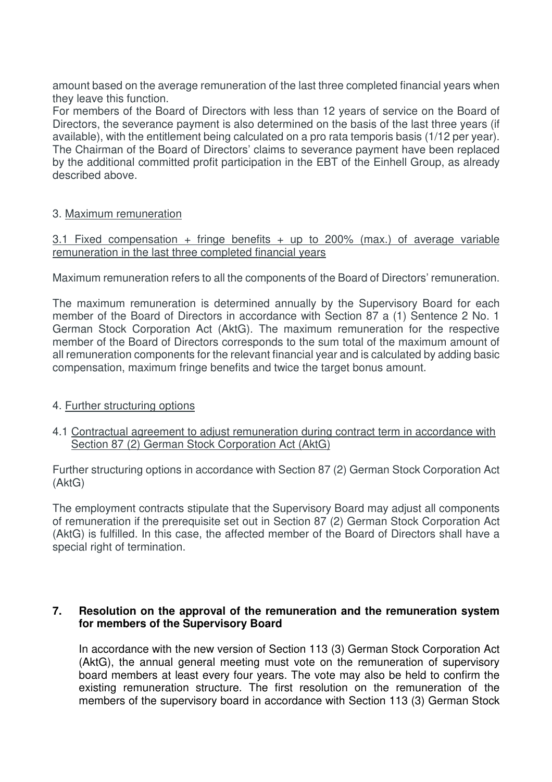amount based on the average remuneration of the last three completed financial years when they leave this function.

For members of the Board of Directors with less than 12 years of service on the Board of Directors, the severance payment is also determined on the basis of the last three years (if available), with the entitlement being calculated on a pro rata temporis basis (1/12 per year). The Chairman of the Board of Directors' claims to severance payment have been replaced by the additional committed profit participation in the EBT of the Einhell Group, as already described above.

# 3. Maximum remuneration

# 3.1 Fixed compensation + fringe benefits + up to 200% (max.) of average variable remuneration in the last three completed financial years

Maximum remuneration refers to all the components of the Board of Directors' remuneration.

The maximum remuneration is determined annually by the Supervisory Board for each member of the Board of Directors in accordance with Section 87 a (1) Sentence 2 No. 1 German Stock Corporation Act (AktG). The maximum remuneration for the respective member of the Board of Directors corresponds to the sum total of the maximum amount of all remuneration components for the relevant financial year and is calculated by adding basic compensation, maximum fringe benefits and twice the target bonus amount.

# 4. Further structuring options

# 4.1 Contractual agreement to adjust remuneration during contract term in accordance with Section 87 (2) German Stock Corporation Act (AktG)

Further structuring options in accordance with Section 87 (2) German Stock Corporation Act (AktG)

The employment contracts stipulate that the Supervisory Board may adjust all components of remuneration if the prerequisite set out in Section 87 (2) German Stock Corporation Act (AktG) is fulfilled. In this case, the affected member of the Board of Directors shall have a special right of termination.

# **7. Resolution on the approval of the remuneration and the remuneration system for members of the Supervisory Board**

In accordance with the new version of Section 113 (3) German Stock Corporation Act (AktG), the annual general meeting must vote on the remuneration of supervisory board members at least every four years. The vote may also be held to confirm the existing remuneration structure. The first resolution on the remuneration of the members of the supervisory board in accordance with Section 113 (3) German Stock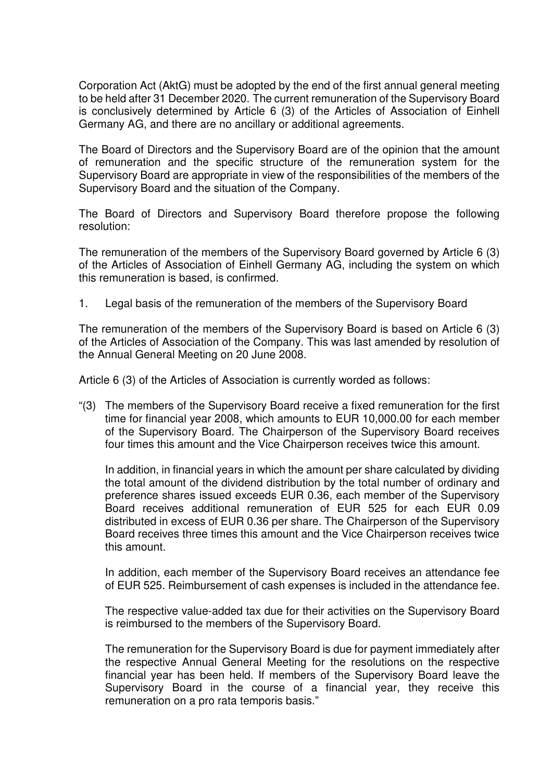Corporation Act (AktG) must be adopted by the end of the first annual general meeting to be held after 31 December 2020. The current remuneration of the Supervisory Board is conclusively determined by Article 6 (3) of the Articles of Association of Einhell Germany AG, and there are no ancillary or additional agreements.

The Board of Directors and the Supervisory Board are of the opinion that the amount of remuneration and the specific structure of the remuneration system for the Supervisory Board are appropriate in view of the responsibilities of the members of the Supervisory Board and the situation of the Company.

The Board of Directors and Supervisory Board therefore propose the following resolution:

The remuneration of the members of the Supervisory Board governed by Article 6 (3) of the Articles of Association of Einhell Germany AG, including the system on which this remuneration is based, is confirmed.

1. Legal basis of the remuneration of the members of the Supervisory Board

The remuneration of the members of the Supervisory Board is based on Article 6 (3) of the Articles of Association of the Company. This was last amended by resolution of the Annual General Meeting on 20 June 2008.

Article 6 (3) of the Articles of Association is currently worded as follows:

"(3) The members of the Supervisory Board receive a fixed remuneration for the first time for financial year 2008, which amounts to EUR 10,000.00 for each member of the Supervisory Board. The Chairperson of the Supervisory Board receives four times this amount and the Vice Chairperson receives twice this amount.

In addition, in financial years in which the amount per share calculated by dividing the total amount of the dividend distribution by the total number of ordinary and preference shares issued exceeds EUR 0.36, each member of the Supervisory Board receives additional remuneration of EUR 525 for each EUR 0.09 distributed in excess of EUR 0.36 per share. The Chairperson of the Supervisory Board receives three times this amount and the Vice Chairperson receives twice this amount.

In addition, each member of the Supervisory Board receives an attendance fee of EUR 525. Reimbursement of cash expenses is included in the attendance fee.

The respective value-added tax due for their activities on the Supervisory Board is reimbursed to the members of the Supervisory Board.

The remuneration for the Supervisory Board is due for payment immediately after the respective Annual General Meeting for the resolutions on the respective financial year has been held. If members of the Supervisory Board leave the Supervisory Board in the course of a financial year, they receive this remuneration on a pro rata temporis basis."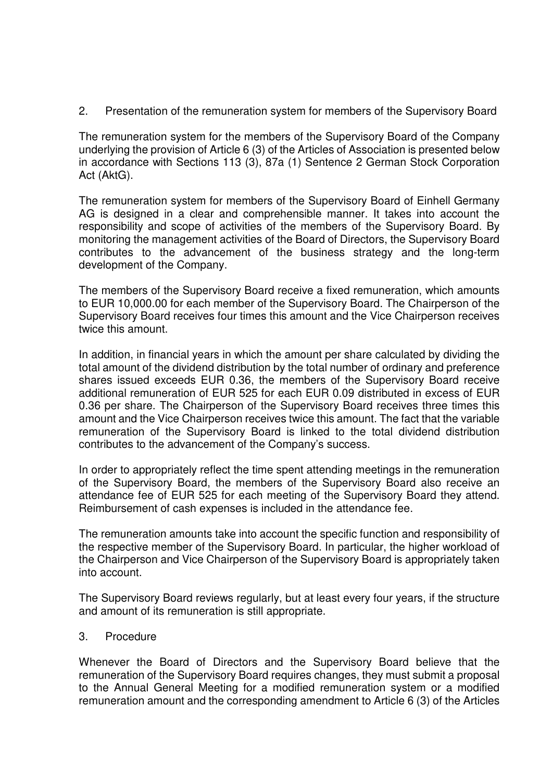2. Presentation of the remuneration system for members of the Supervisory Board

The remuneration system for the members of the Supervisory Board of the Company underlying the provision of Article 6 (3) of the Articles of Association is presented below in accordance with Sections 113 (3), 87a (1) Sentence 2 German Stock Corporation Act (AktG).

The remuneration system for members of the Supervisory Board of Einhell Germany AG is designed in a clear and comprehensible manner. It takes into account the responsibility and scope of activities of the members of the Supervisory Board. By monitoring the management activities of the Board of Directors, the Supervisory Board contributes to the advancement of the business strategy and the long-term development of the Company.

The members of the Supervisory Board receive a fixed remuneration, which amounts to EUR 10,000.00 for each member of the Supervisory Board. The Chairperson of the Supervisory Board receives four times this amount and the Vice Chairperson receives twice this amount.

In addition, in financial years in which the amount per share calculated by dividing the total amount of the dividend distribution by the total number of ordinary and preference shares issued exceeds EUR 0.36, the members of the Supervisory Board receive additional remuneration of EUR 525 for each EUR 0.09 distributed in excess of EUR 0.36 per share. The Chairperson of the Supervisory Board receives three times this amount and the Vice Chairperson receives twice this amount. The fact that the variable remuneration of the Supervisory Board is linked to the total dividend distribution contributes to the advancement of the Company's success.

In order to appropriately reflect the time spent attending meetings in the remuneration of the Supervisory Board, the members of the Supervisory Board also receive an attendance fee of EUR 525 for each meeting of the Supervisory Board they attend. Reimbursement of cash expenses is included in the attendance fee.

The remuneration amounts take into account the specific function and responsibility of the respective member of the Supervisory Board. In particular, the higher workload of the Chairperson and Vice Chairperson of the Supervisory Board is appropriately taken into account.

The Supervisory Board reviews regularly, but at least every four years, if the structure and amount of its remuneration is still appropriate.

# 3. Procedure

Whenever the Board of Directors and the Supervisory Board believe that the remuneration of the Supervisory Board requires changes, they must submit a proposal to the Annual General Meeting for a modified remuneration system or a modified remuneration amount and the corresponding amendment to Article 6 (3) of the Articles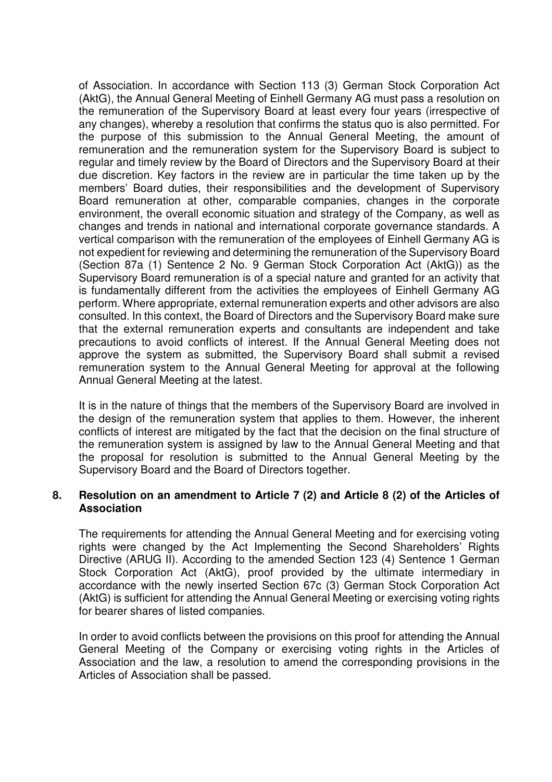of Association. In accordance with Section 113 (3) German Stock Corporation Act (AktG), the Annual General Meeting of Einhell Germany AG must pass a resolution on the remuneration of the Supervisory Board at least every four years (irrespective of any changes), whereby a resolution that confirms the status quo is also permitted. For the purpose of this submission to the Annual General Meeting, the amount of remuneration and the remuneration system for the Supervisory Board is subject to regular and timely review by the Board of Directors and the Supervisory Board at their due discretion. Key factors in the review are in particular the time taken up by the members' Board duties, their responsibilities and the development of Supervisory Board remuneration at other, comparable companies, changes in the corporate environment, the overall economic situation and strategy of the Company, as well as changes and trends in national and international corporate governance standards. A vertical comparison with the remuneration of the employees of Einhell Germany AG is not expedient for reviewing and determining the remuneration of the Supervisory Board (Section 87a (1) Sentence 2 No. 9 German Stock Corporation Act (AktG)) as the Supervisory Board remuneration is of a special nature and granted for an activity that is fundamentally different from the activities the employees of Einhell Germany AG perform. Where appropriate, external remuneration experts and other advisors are also consulted. In this context, the Board of Directors and the Supervisory Board make sure that the external remuneration experts and consultants are independent and take precautions to avoid conflicts of interest. If the Annual General Meeting does not approve the system as submitted, the Supervisory Board shall submit a revised remuneration system to the Annual General Meeting for approval at the following Annual General Meeting at the latest.

It is in the nature of things that the members of the Supervisory Board are involved in the design of the remuneration system that applies to them. However, the inherent conflicts of interest are mitigated by the fact that the decision on the final structure of the remuneration system is assigned by law to the Annual General Meeting and that the proposal for resolution is submitted to the Annual General Meeting by the Supervisory Board and the Board of Directors together.

# **8. Resolution on an amendment to Article 7 (2) and Article 8 (2) of the Articles of Association**

The requirements for attending the Annual General Meeting and for exercising voting rights were changed by the Act Implementing the Second Shareholders' Rights Directive (ARUG II). According to the amended Section 123 (4) Sentence 1 German Stock Corporation Act (AktG), proof provided by the ultimate intermediary in accordance with the newly inserted Section 67c (3) German Stock Corporation Act (AktG) is sufficient for attending the Annual General Meeting or exercising voting rights for bearer shares of listed companies.

In order to avoid conflicts between the provisions on this proof for attending the Annual General Meeting of the Company or exercising voting rights in the Articles of Association and the law, a resolution to amend the corresponding provisions in the Articles of Association shall be passed.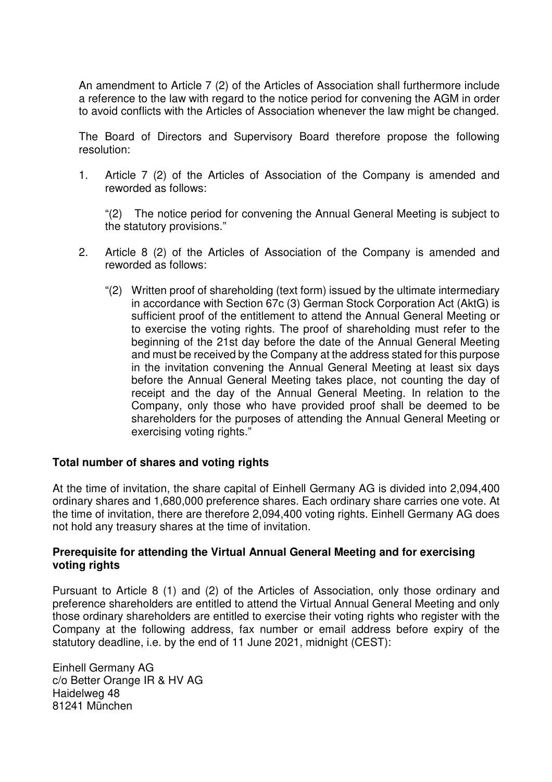An amendment to Article 7 (2) of the Articles of Association shall furthermore include a reference to the law with regard to the notice period for convening the AGM in order to avoid conflicts with the Articles of Association whenever the law might be changed.

The Board of Directors and Supervisory Board therefore propose the following resolution:

1. Article 7 (2) of the Articles of Association of the Company is amended and reworded as follows:

"(2) The notice period for convening the Annual General Meeting is subject to the statutory provisions."

- 2. Article 8 (2) of the Articles of Association of the Company is amended and reworded as follows:
	- "(2) Written proof of shareholding (text form) issued by the ultimate intermediary in accordance with Section 67c (3) German Stock Corporation Act (AktG) is sufficient proof of the entitlement to attend the Annual General Meeting or to exercise the voting rights. The proof of shareholding must refer to the beginning of the 21st day before the date of the Annual General Meeting and must be received by the Company at the address stated for this purpose in the invitation convening the Annual General Meeting at least six days before the Annual General Meeting takes place, not counting the day of receipt and the day of the Annual General Meeting. In relation to the Company, only those who have provided proof shall be deemed to be shareholders for the purposes of attending the Annual General Meeting or exercising voting rights."

# **Total number of shares and voting rights**

At the time of invitation, the share capital of Einhell Germany AG is divided into 2,094,400 ordinary shares and 1,680,000 preference shares. Each ordinary share carries one vote. At the time of invitation, there are therefore 2,094,400 voting rights. Einhell Germany AG does not hold any treasury shares at the time of invitation.

# **Prerequisite for attending the Virtual Annual General Meeting and for exercising voting rights**

Pursuant to Article 8 (1) and (2) of the Articles of Association, only those ordinary and preference shareholders are entitled to attend the Virtual Annual General Meeting and only those ordinary shareholders are entitled to exercise their voting rights who register with the Company at the following address, fax number or email address before expiry of the statutory deadline, i.e. by the end of 11 June 2021, midnight (CEST):

Einhell Germany AG c/o Better Orange IR & HV AG Haidelweg 48 81241 München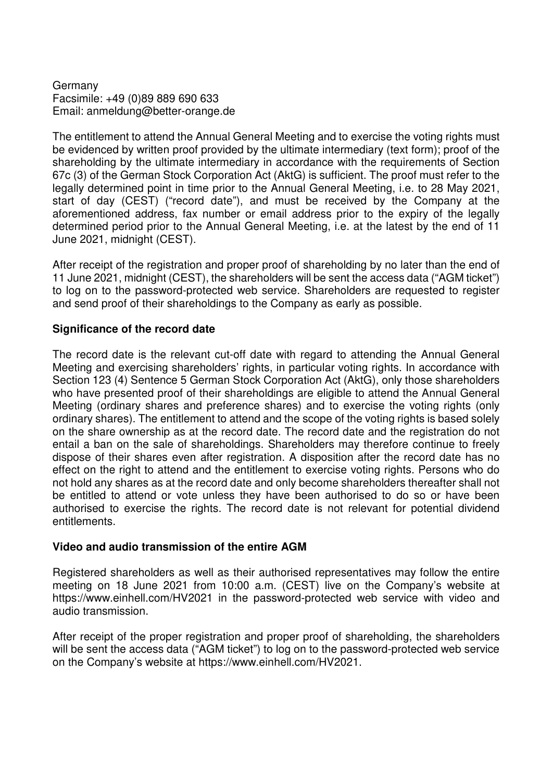# Germany Facsimile: +49 (0)89 889 690 633 Email: anmeldung@better-orange.de

The entitlement to attend the Annual General Meeting and to exercise the voting rights must be evidenced by written proof provided by the ultimate intermediary (text form); proof of the shareholding by the ultimate intermediary in accordance with the requirements of Section 67c (3) of the German Stock Corporation Act (AktG) is sufficient. The proof must refer to the legally determined point in time prior to the Annual General Meeting, i.e. to 28 May 2021, start of day (CEST) ("record date"), and must be received by the Company at the aforementioned address, fax number or email address prior to the expiry of the legally determined period prior to the Annual General Meeting, i.e. at the latest by the end of 11 June 2021, midnight (CEST).

After receipt of the registration and proper proof of shareholding by no later than the end of 11 June 2021, midnight (CEST), the shareholders will be sent the access data ("AGM ticket") to log on to the password-protected web service. Shareholders are requested to register and send proof of their shareholdings to the Company as early as possible.

# **Significance of the record date**

The record date is the relevant cut-off date with regard to attending the Annual General Meeting and exercising shareholders' rights, in particular voting rights. In accordance with Section 123 (4) Sentence 5 German Stock Corporation Act (AktG), only those shareholders who have presented proof of their shareholdings are eligible to attend the Annual General Meeting (ordinary shares and preference shares) and to exercise the voting rights (only ordinary shares). The entitlement to attend and the scope of the voting rights is based solely on the share ownership as at the record date. The record date and the registration do not entail a ban on the sale of shareholdings. Shareholders may therefore continue to freely dispose of their shares even after registration. A disposition after the record date has no effect on the right to attend and the entitlement to exercise voting rights. Persons who do not hold any shares as at the record date and only become shareholders thereafter shall not be entitled to attend or vote unless they have been authorised to do so or have been authorised to exercise the rights. The record date is not relevant for potential dividend entitlements.

# **Video and audio transmission of the entire AGM**

Registered shareholders as well as their authorised representatives may follow the entire meeting on 18 June 2021 from 10:00 a.m. (CEST) live on the Company's website at https://www.einhell.com/HV2021 in the password-protected web service with video and audio transmission.

After receipt of the proper registration and proper proof of shareholding, the shareholders will be sent the access data ("AGM ticket") to log on to the password-protected web service on the Company's website at https://www.einhell.com/HV2021.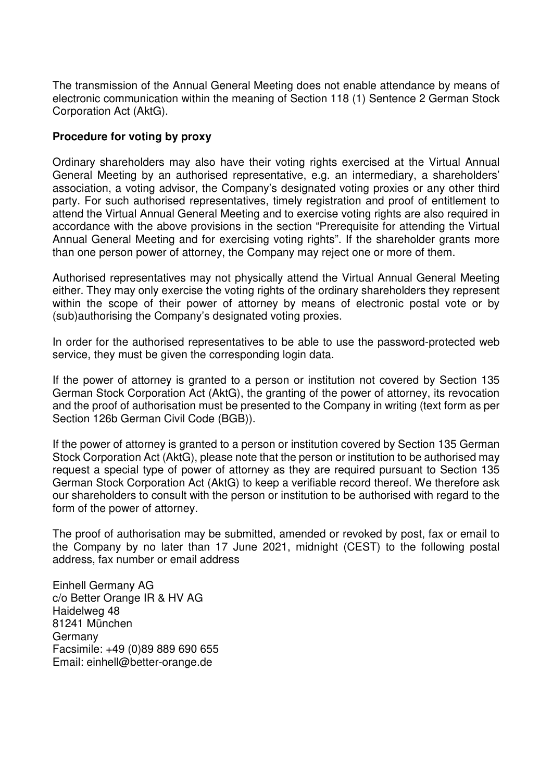The transmission of the Annual General Meeting does not enable attendance by means of electronic communication within the meaning of Section 118 (1) Sentence 2 German Stock Corporation Act (AktG).

# **Procedure for voting by proxy**

Ordinary shareholders may also have their voting rights exercised at the Virtual Annual General Meeting by an authorised representative, e.g. an intermediary, a shareholders' association, a voting advisor, the Company's designated voting proxies or any other third party. For such authorised representatives, timely registration and proof of entitlement to attend the Virtual Annual General Meeting and to exercise voting rights are also required in accordance with the above provisions in the section "Prerequisite for attending the Virtual Annual General Meeting and for exercising voting rights". If the shareholder grants more than one person power of attorney, the Company may reject one or more of them.

Authorised representatives may not physically attend the Virtual Annual General Meeting either. They may only exercise the voting rights of the ordinary shareholders they represent within the scope of their power of attorney by means of electronic postal vote or by (sub)authorising the Company's designated voting proxies.

In order for the authorised representatives to be able to use the password-protected web service, they must be given the corresponding login data.

If the power of attorney is granted to a person or institution not covered by Section 135 German Stock Corporation Act (AktG), the granting of the power of attorney, its revocation and the proof of authorisation must be presented to the Company in writing (text form as per Section 126b German Civil Code (BGB)).

If the power of attorney is granted to a person or institution covered by Section 135 German Stock Corporation Act (AktG), please note that the person or institution to be authorised may request a special type of power of attorney as they are required pursuant to Section 135 German Stock Corporation Act (AktG) to keep a verifiable record thereof. We therefore ask our shareholders to consult with the person or institution to be authorised with regard to the form of the power of attorney.

The proof of authorisation may be submitted, amended or revoked by post, fax or email to the Company by no later than 17 June 2021, midnight (CEST) to the following postal address, fax number or email address

Einhell Germany AG c/o Better Orange IR & HV AG Haidelweg 48 81241 München Germany Facsimile: +49 (0)89 889 690 655 Email: einhell@better-orange.de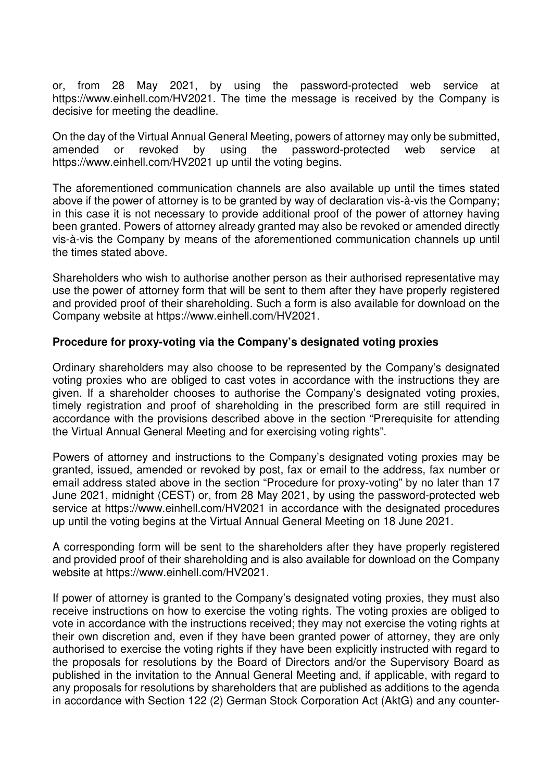or, from 28 May 2021, by using the password-protected web service at https://www.einhell.com/HV2021. The time the message is received by the Company is decisive for meeting the deadline.

On the day of the Virtual Annual General Meeting, powers of attorney may only be submitted, amended or revoked by using the password-protected web service at https://www.einhell.com/HV2021 up until the voting begins.

The aforementioned communication channels are also available up until the times stated above if the power of attorney is to be granted by way of declaration vis-à-vis the Company; in this case it is not necessary to provide additional proof of the power of attorney having been granted. Powers of attorney already granted may also be revoked or amended directly vis-à-vis the Company by means of the aforementioned communication channels up until the times stated above.

Shareholders who wish to authorise another person as their authorised representative may use the power of attorney form that will be sent to them after they have properly registered and provided proof of their shareholding. Such a form is also available for download on the Company website at https://www.einhell.com/HV2021.

# **Procedure for proxy-voting via the Company's designated voting proxies**

Ordinary shareholders may also choose to be represented by the Company's designated voting proxies who are obliged to cast votes in accordance with the instructions they are given. If a shareholder chooses to authorise the Company's designated voting proxies, timely registration and proof of shareholding in the prescribed form are still required in accordance with the provisions described above in the section "Prerequisite for attending the Virtual Annual General Meeting and for exercising voting rights".

Powers of attorney and instructions to the Company's designated voting proxies may be granted, issued, amended or revoked by post, fax or email to the address, fax number or email address stated above in the section "Procedure for proxy-voting" by no later than 17 June 2021, midnight (CEST) or, from 28 May 2021, by using the password-protected web service at https://www.einhell.com/HV2021 in accordance with the designated procedures up until the voting begins at the Virtual Annual General Meeting on 18 June 2021.

A corresponding form will be sent to the shareholders after they have properly registered and provided proof of their shareholding and is also available for download on the Company website at https://www.einhell.com/HV2021.

If power of attorney is granted to the Company's designated voting proxies, they must also receive instructions on how to exercise the voting rights. The voting proxies are obliged to vote in accordance with the instructions received; they may not exercise the voting rights at their own discretion and, even if they have been granted power of attorney, they are only authorised to exercise the voting rights if they have been explicitly instructed with regard to the proposals for resolutions by the Board of Directors and/or the Supervisory Board as published in the invitation to the Annual General Meeting and, if applicable, with regard to any proposals for resolutions by shareholders that are published as additions to the agenda in accordance with Section 122 (2) German Stock Corporation Act (AktG) and any counter-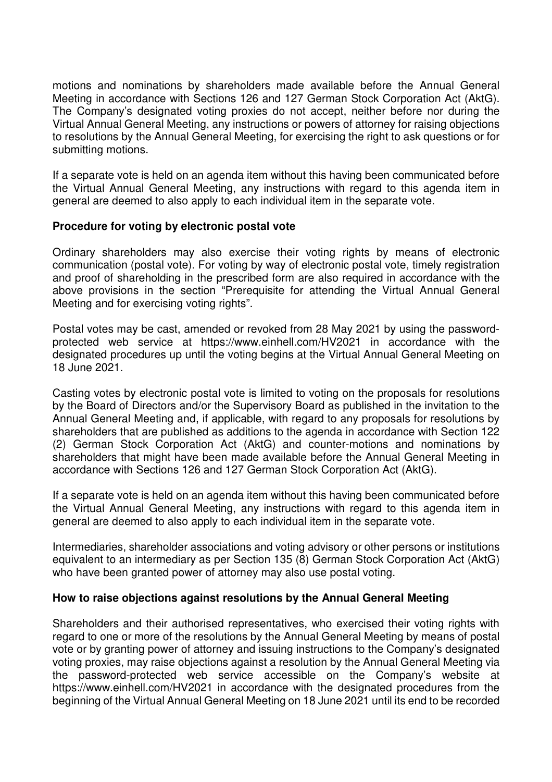motions and nominations by shareholders made available before the Annual General Meeting in accordance with Sections 126 and 127 German Stock Corporation Act (AktG). The Company's designated voting proxies do not accept, neither before nor during the Virtual Annual General Meeting, any instructions or powers of attorney for raising objections to resolutions by the Annual General Meeting, for exercising the right to ask questions or for submitting motions.

If a separate vote is held on an agenda item without this having been communicated before the Virtual Annual General Meeting, any instructions with regard to this agenda item in general are deemed to also apply to each individual item in the separate vote.

# **Procedure for voting by electronic postal vote**

Ordinary shareholders may also exercise their voting rights by means of electronic communication (postal vote). For voting by way of electronic postal vote, timely registration and proof of shareholding in the prescribed form are also required in accordance with the above provisions in the section "Prerequisite for attending the Virtual Annual General Meeting and for exercising voting rights".

Postal votes may be cast, amended or revoked from 28 May 2021 by using the passwordprotected web service at https://www.einhell.com/HV2021 in accordance with the designated procedures up until the voting begins at the Virtual Annual General Meeting on 18 June 2021.

Casting votes by electronic postal vote is limited to voting on the proposals for resolutions by the Board of Directors and/or the Supervisory Board as published in the invitation to the Annual General Meeting and, if applicable, with regard to any proposals for resolutions by shareholders that are published as additions to the agenda in accordance with Section 122 (2) German Stock Corporation Act (AktG) and counter-motions and nominations by shareholders that might have been made available before the Annual General Meeting in accordance with Sections 126 and 127 German Stock Corporation Act (AktG).

If a separate vote is held on an agenda item without this having been communicated before the Virtual Annual General Meeting, any instructions with regard to this agenda item in general are deemed to also apply to each individual item in the separate vote.

Intermediaries, shareholder associations and voting advisory or other persons or institutions equivalent to an intermediary as per Section 135 (8) German Stock Corporation Act (AktG) who have been granted power of attorney may also use postal voting.

# **How to raise objections against resolutions by the Annual General Meeting**

Shareholders and their authorised representatives, who exercised their voting rights with regard to one or more of the resolutions by the Annual General Meeting by means of postal vote or by granting power of attorney and issuing instructions to the Company's designated voting proxies, may raise objections against a resolution by the Annual General Meeting via the password-protected web service accessible on the Company's website at https://www.einhell.com/HV2021 in accordance with the designated procedures from the beginning of the Virtual Annual General Meeting on 18 June 2021 until its end to be recorded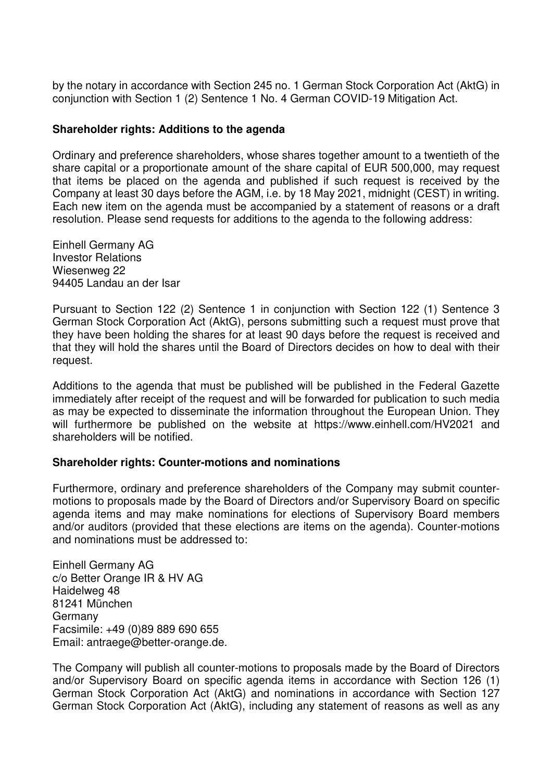by the notary in accordance with Section 245 no. 1 German Stock Corporation Act (AktG) in conjunction with Section 1 (2) Sentence 1 No. 4 German COVID-19 Mitigation Act.

# **Shareholder rights: Additions to the agenda**

Ordinary and preference shareholders, whose shares together amount to a twentieth of the share capital or a proportionate amount of the share capital of EUR 500,000, may request that items be placed on the agenda and published if such request is received by the Company at least 30 days before the AGM, i.e. by 18 May 2021, midnight (CEST) in writing. Each new item on the agenda must be accompanied by a statement of reasons or a draft resolution. Please send requests for additions to the agenda to the following address:

Einhell Germany AG Investor Relations Wiesenweg 22 94405 Landau an der Isar

Pursuant to Section 122 (2) Sentence 1 in conjunction with Section 122 (1) Sentence 3 German Stock Corporation Act (AktG), persons submitting such a request must prove that they have been holding the shares for at least 90 days before the request is received and that they will hold the shares until the Board of Directors decides on how to deal with their request.

Additions to the agenda that must be published will be published in the Federal Gazette immediately after receipt of the request and will be forwarded for publication to such media as may be expected to disseminate the information throughout the European Union. They will furthermore be published on the website at https://www.einhell.com/HV2021 and shareholders will be notified.

# **Shareholder rights: Counter-motions and nominations**

Furthermore, ordinary and preference shareholders of the Company may submit countermotions to proposals made by the Board of Directors and/or Supervisory Board on specific agenda items and may make nominations for elections of Supervisory Board members and/or auditors (provided that these elections are items on the agenda). Counter-motions and nominations must be addressed to:

Einhell Germany AG c/o Better Orange IR & HV AG Haidelweg 48 81241 München **Germany** Facsimile: +49 (0)89 889 690 655 Email: antraege@better-orange.de.

The Company will publish all counter-motions to proposals made by the Board of Directors and/or Supervisory Board on specific agenda items in accordance with Section 126 (1) German Stock Corporation Act (AktG) and nominations in accordance with Section 127 German Stock Corporation Act (AktG), including any statement of reasons as well as any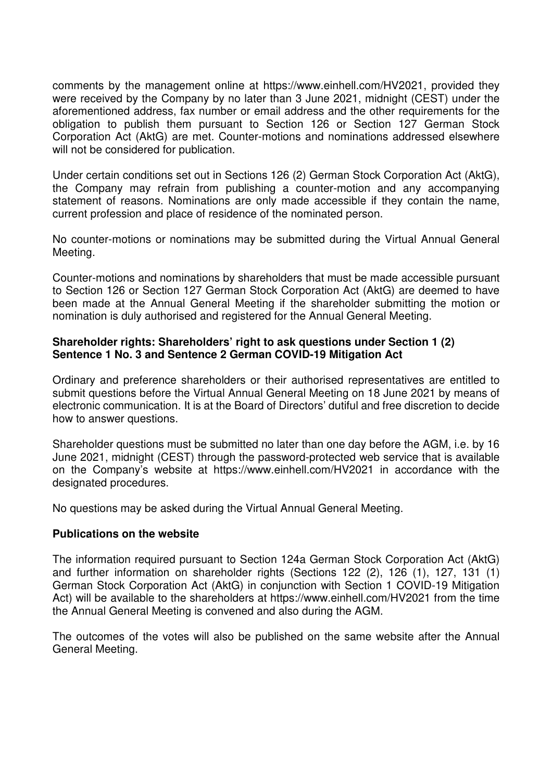comments by the management online at https://www.einhell.com/HV2021, provided they were received by the Company by no later than 3 June 2021, midnight (CEST) under the aforementioned address, fax number or email address and the other requirements for the obligation to publish them pursuant to Section 126 or Section 127 German Stock Corporation Act (AktG) are met. Counter-motions and nominations addressed elsewhere will not be considered for publication.

Under certain conditions set out in Sections 126 (2) German Stock Corporation Act (AktG), the Company may refrain from publishing a counter-motion and any accompanying statement of reasons. Nominations are only made accessible if they contain the name, current profession and place of residence of the nominated person.

No counter-motions or nominations may be submitted during the Virtual Annual General Meeting.

Counter-motions and nominations by shareholders that must be made accessible pursuant to Section 126 or Section 127 German Stock Corporation Act (AktG) are deemed to have been made at the Annual General Meeting if the shareholder submitting the motion or nomination is duly authorised and registered for the Annual General Meeting.

# **Shareholder rights: Shareholders' right to ask questions under Section 1 (2) Sentence 1 No. 3 and Sentence 2 German COVID-19 Mitigation Act**

Ordinary and preference shareholders or their authorised representatives are entitled to submit questions before the Virtual Annual General Meeting on 18 June 2021 by means of electronic communication. It is at the Board of Directors' dutiful and free discretion to decide how to answer questions.

Shareholder questions must be submitted no later than one day before the AGM, i.e. by 16 June 2021, midnight (CEST) through the password-protected web service that is available on the Company's website at https://www.einhell.com/HV2021 in accordance with the designated procedures.

No questions may be asked during the Virtual Annual General Meeting.

# **Publications on the website**

The information required pursuant to Section 124a German Stock Corporation Act (AktG) and further information on shareholder rights (Sections 122 (2), 126 (1), 127, 131 (1) German Stock Corporation Act (AktG) in conjunction with Section 1 COVID-19 Mitigation Act) will be available to the shareholders at https://www.einhell.com/HV2021 from the time the Annual General Meeting is convened and also during the AGM.

The outcomes of the votes will also be published on the same website after the Annual General Meeting.